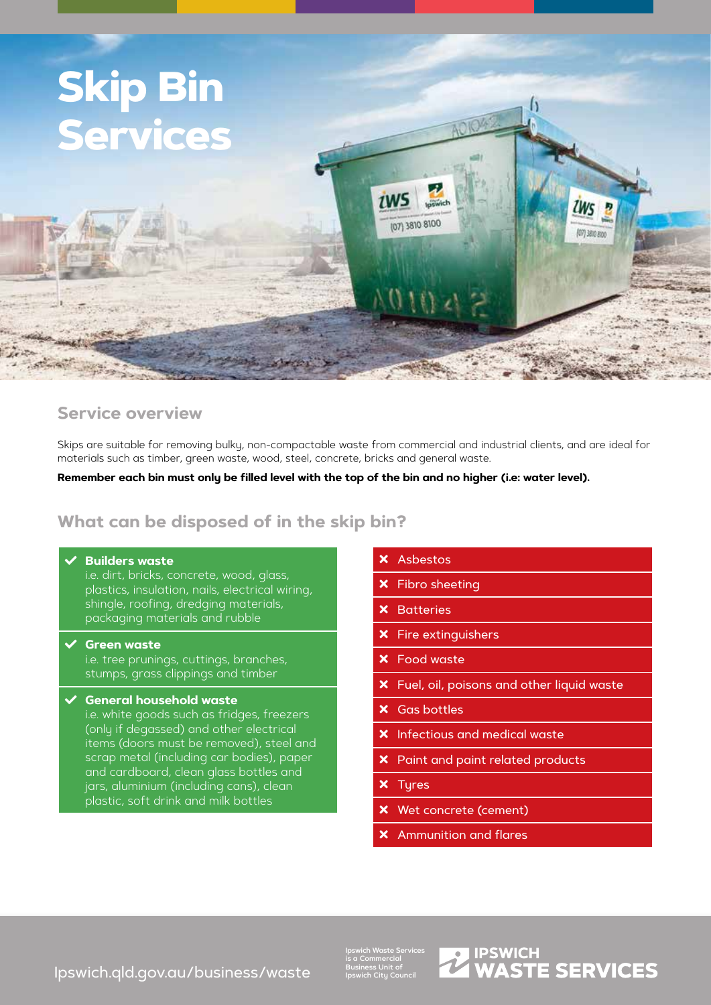

# **Service overview**

Skips are suitable for removing bulky, non-compactable waste from commercial and industrial clients, and are ideal for materials such as timber, green waste, wood, steel, concrete, bricks and general waste.

### **Remember each bin must only be filled level with the top of the bin and no higher (i.e: water level).**

# **What can be disposed of in the skip bin?**

#### **Builders waste**

i.e. dirt, bricks, concrete, wood, glass, plastics, insulation, nails, electrical wiring, shingle, roofing, dredging materials, packaging materials and rubble

#### Green waste

i.e. tree prunings, cuttings, branches, stumps, grass clippings and timber

### General household waste

i.e. white goods such as fridges, freezers (only if degassed) and other electrical items (doors must be removed), steel and scrap metal (including car bodies), paper and cardboard, clean glass bottles and jars, aluminium (including cans), clean plastic, soft drink and milk bottles

- **X** Asbestos
- $x$  Fibro sheeting
- **X** Batteries
- $x$  Fire extinguishers
- **X** Food waste
- X Fuel, oil, poisons and other liquid waste
- **x** Gas bottles
- **X** Infectious and medical waste
- **x** Paint and paint related products
- **x** Tyres
- Wet concrete (cement)
- Ammunition and flares

[Ipswich.qld.gov.au/business/waste](http://Ipswich.qld.gov.au/business/waste)

**Ipswich Waste Services is a Commercial Business Unit of Ipswich City Council**